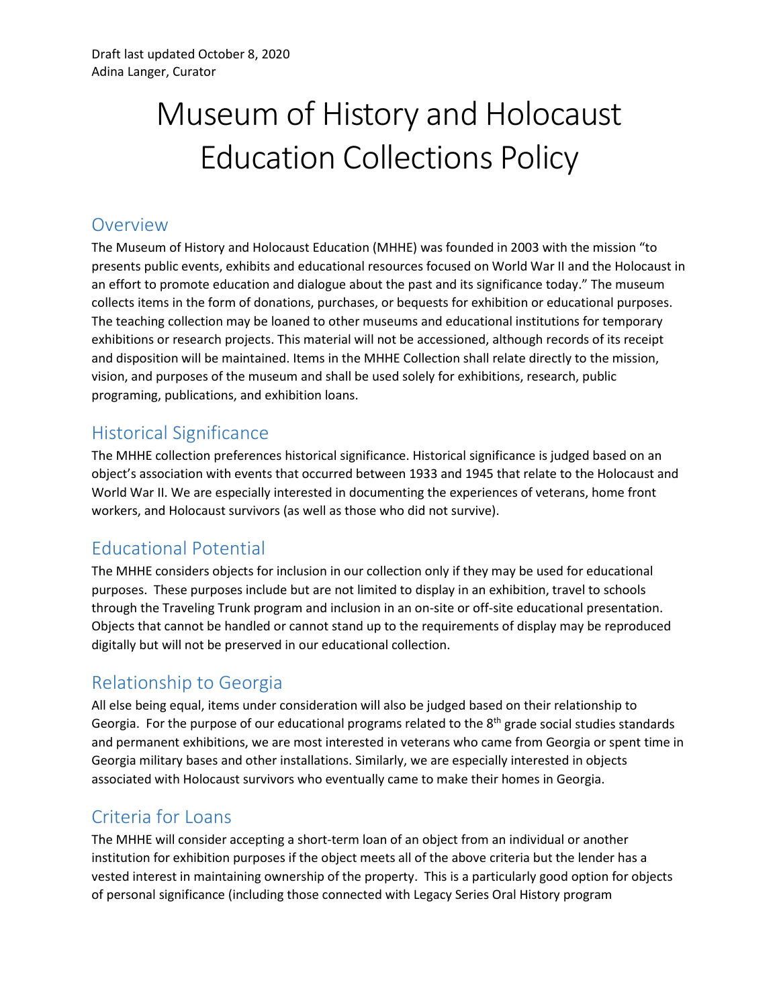# Museum of History and Holocaust Education Collections Policy

#### Overview

The Museum of History and Holocaust Education (MHHE) was founded in 2003 with the mission "to presents public events, exhibits and educational resources focused on World War II and the Holocaust in an effort to promote education and dialogue about the past and its significance today." The museum collects items in the form of donations, purchases, or bequests for exhibition or educational purposes. The teaching collection may be loaned to other museums and educational institutions for temporary exhibitions or research projects. This material will not be accessioned, although records of its receipt and disposition will be maintained. Items in the MHHE Collection shall relate directly to the mission, vision, and purposes of the museum and shall be used solely for exhibitions, research, public programing, publications, and exhibition loans.

#### Historical Significance

The MHHE collection preferences historical significance. Historical significance is judged based on an object's association with events that occurred between 1933 and 1945 that relate to the Holocaust and World War II. We are especially interested in documenting the experiences of veterans, home front workers, and Holocaust survivors (as well as those who did not survive).

## Educational Potential

The MHHE considers objects for inclusion in our collection only if they may be used for educational purposes. These purposes include but are not limited to display in an exhibition, travel to schools through the Traveling Trunk program and inclusion in an on-site or off-site educational presentation. Objects that cannot be handled or cannot stand up to the requirements of display may be reproduced digitally but will not be preserved in our educational collection.

## Relationship to Georgia

All else being equal, items under consideration will also be judged based on their relationship to Georgia. For the purpose of our educational programs related to the  $8<sup>th</sup>$  grade social studies standards and permanent exhibitions, we are most interested in veterans who came from Georgia or spent time in Georgia military bases and other installations. Similarly, we are especially interested in objects associated with Holocaust survivors who eventually came to make their homes in Georgia.

## Criteria for Loans

The MHHE will consider accepting a short-term loan of an object from an individual or another institution for exhibition purposes if the object meets all of the above criteria but the lender has a vested interest in maintaining ownership of the property. This is a particularly good option for objects of personal significance (including those connected with Legacy Series Oral History program